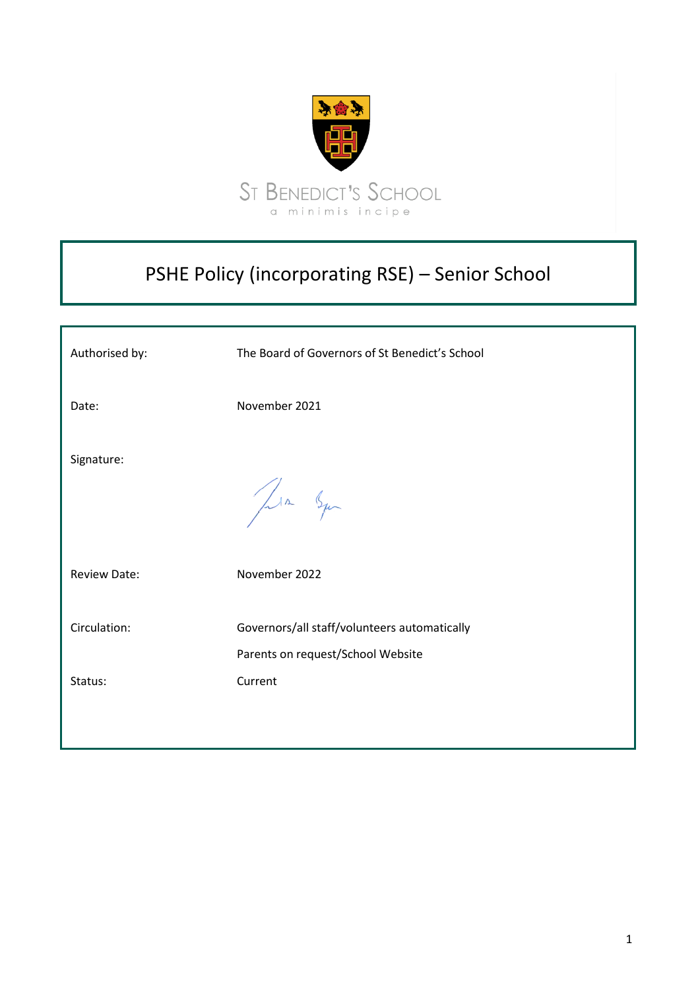

## PSHE Policy (incorporating RSE) – Senior School

| Authorised by:          | The Board of Governors of St Benedict's School                                               |
|-------------------------|----------------------------------------------------------------------------------------------|
| Date:                   | November 2021                                                                                |
| Signature:              | Jula Squ                                                                                     |
| <b>Review Date:</b>     | November 2022                                                                                |
| Circulation:<br>Status: | Governors/all staff/volunteers automatically<br>Parents on request/School Website<br>Current |
|                         |                                                                                              |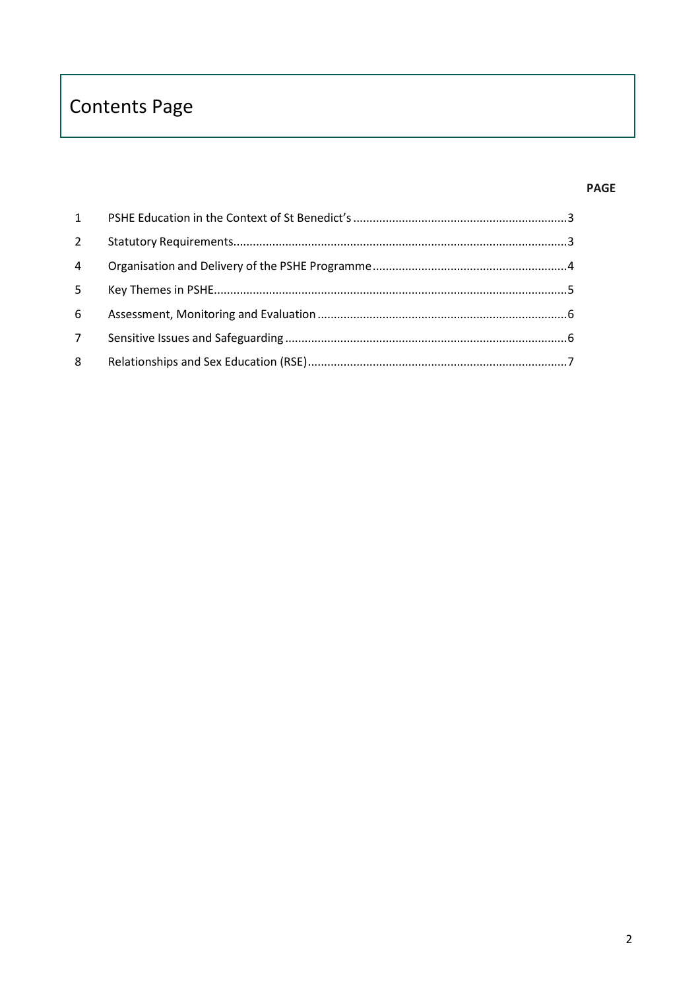# **Contents Page**

## **PAGE**

| 1              |  |
|----------------|--|
| $\overline{2}$ |  |
| 4              |  |
| 5 <sup>1</sup> |  |
| 6              |  |
| 7 <sup>7</sup> |  |
| 8              |  |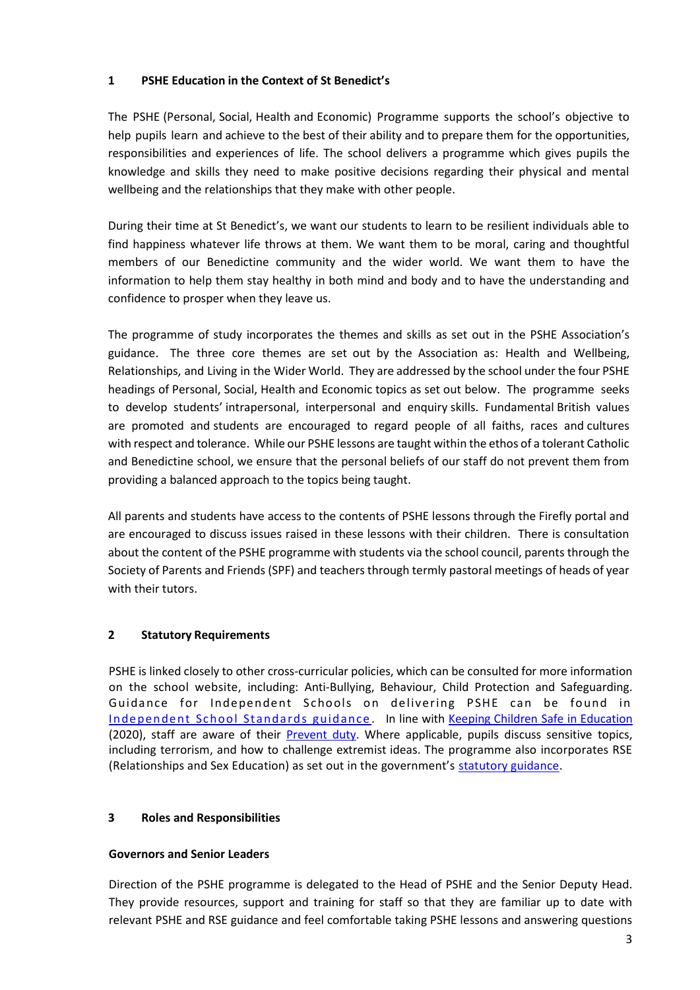#### <span id="page-2-0"></span>**1 PSHE Education in the Context of St Benedict's**

The PSHE (Personal, Social, Health and Economic) Programme supports the school's objective to help pupils learn and achieve to the best of their ability and to prepare them for the opportunities, responsibilities and experiences of life. The school delivers a programme which gives pupils the knowledge and skills they need to make positive decisions regarding their physical and mental wellbeing and the relationships that they make with other people.

During their time at St Benedict's, we want our students to learn to be resilient individuals able to find happiness whatever life throws at them. We want them to be moral, caring and thoughtful members of our Benedictine community and the wider world. We want them to have the information to help them stay healthy in both mind and body and to have the understanding and confidence to prosper when they leave us.

The programme of study incorporates the themes and skills as set out in the PSHE Association's guidance. The three core themes are set out by the Association as: Health and Wellbeing, Relationships, and Living in the Wider World. They are addressed by the school under the four PSHE headings of Personal, Social, Health and Economic topics as set out below. The programme seeks to develop students' intrapersonal, interpersonal and enquiry skills. Fundamental British values are promoted and students are encouraged to regard people of all faiths, races and cultures with respect and tolerance. While our PSHE lessons are taught within the ethos of a tolerant Catholic and Benedictine school, we ensure that the personal beliefs of our staff do not prevent them from providing a balanced approach to the topics being taught.

All parents and students have access to the contents of PSHE lessons through the Firefly portal and are encouraged to discuss issues raised in these lessons with their children. There is consultation about the content of the PSHE programme with students via the school council, parents through the Society of Parents and Friends (SPF) and teachers through termly pastoral meetings of heads of year with their tutors.

## <span id="page-2-1"></span>**2 Statutory Requirements**

PSHE is linked closely to other cross-curricular policies, which can be consulted for more information on the school website, including: Anti-Bullying, Behaviour, Child Protection and Safeguarding. Guidance for Independent Schools on delivering PSHE can be found in [Independent School Standards guidance](https://www.gov.uk/government/publications/regulating-independent-schools) . In line with Keeping Children Safe in [Education](https://assets.publishing.service.gov.uk/government/uploads/system/uploads/attachment_data/file/892394/Keeping_children_safe_in_education_2020.pdf) (2020), staff are aware of their **Prevent duty**. Where applicable, pupils discuss sensitive topics, including terrorism, and how to challenge extremist ideas. The programme also incorporates RSE (Relationships and Sex Education) as set out in the government's [statutory guidance.](https://assets.publishing.service.gov.uk/government/uploads/system/uploads/attachment_data/file/908013/Relationships_Education__Relationships_and_Sex_Education__RSE__and_Health_Education.pdf)

#### **3 Roles and Responsibilities**

#### **Governors and Senior Leaders**

Direction of the PSHE programme is delegated to the Head of PSHE and the Senior Deputy Head. They provide resources, support and training for staff so that they are familiar up to date with relevant PSHE and RSE guidance and feel comfortable taking PSHE lessons and answering questions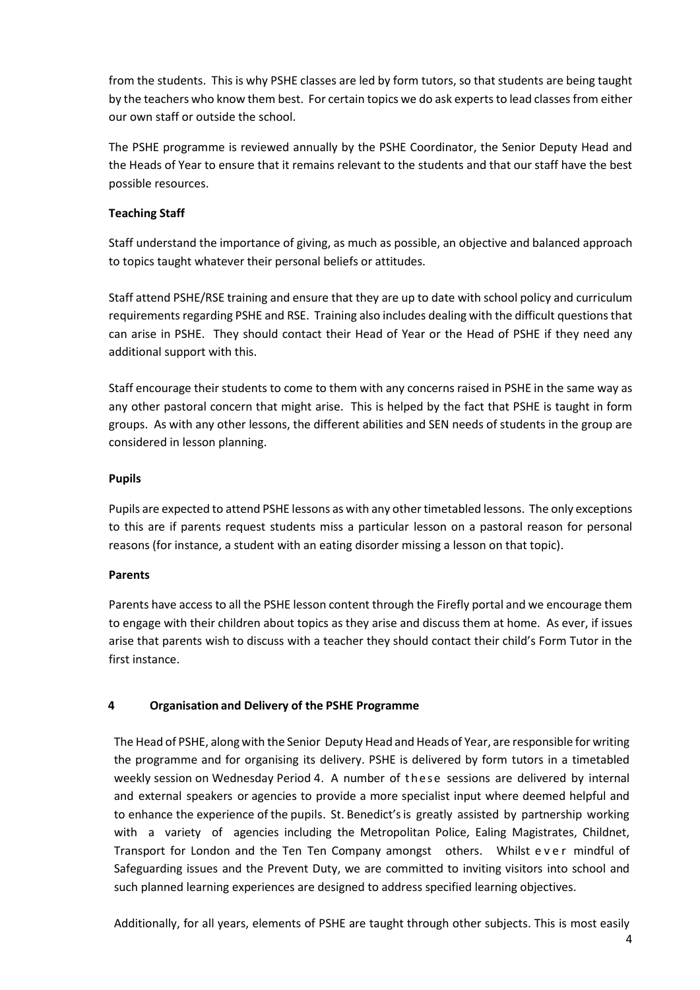from the students. This is why PSHE classes are led by form tutors, so that students are being taught by the teachers who know them best. For certain topics we do ask experts to lead classes from either our own staff or outside the school.

The PSHE programme is reviewed annually by the PSHE Coordinator, the Senior Deputy Head and the Heads of Year to ensure that it remains relevant to the students and that our staff have the best possible resources.

#### **Teaching Staff**

Staff understand the importance of giving, as much as possible, an objective and balanced approach to topics taught whatever their personal beliefs or attitudes.

Staff attend PSHE/RSE training and ensure that they are up to date with school policy and curriculum requirements regarding PSHE and RSE. Training also includes dealing with the difficult questions that can arise in PSHE. They should contact their Head of Year or the Head of PSHE if they need any additional support with this.

Staff encourage their students to come to them with any concerns raised in PSHE in the same way as any other pastoral concern that might arise. This is helped by the fact that PSHE is taught in form groups. As with any other lessons, the different abilities and SEN needs of students in the group are considered in lesson planning.

#### **Pupils**

Pupils are expected to attend PSHE lessons as with any other timetabled lessons. The only exceptions to this are if parents request students miss a particular lesson on a pastoral reason for personal reasons (for instance, a student with an eating disorder missing a lesson on that topic).

#### **Parents**

Parents have access to all the PSHE lesson content through the Firefly portal and we encourage them to engage with their children about topics as they arise and discuss them at home. As ever, if issues arise that parents wish to discuss with a teacher they should contact their child's Form Tutor in the first instance.

#### <span id="page-3-0"></span>**4 Organisation and Delivery of the PSHE Programme**

The Head of PSHE, along with the Senior Deputy Head and Heads of Year, are responsible for writing the programme and for organising its delivery. PSHE is delivered by form tutors in a timetabled weekly session on Wednesday Period 4. A number of these sessions are delivered by internal and external speakers or agencies to provide a more specialist input where deemed helpful and to enhance the experience of the pupils. St. Benedict's is greatly assisted by partnership working with a variety of agencies including the Metropolitan Police, Ealing Magistrates, Childnet, Transport for London and the Ten Ten Company amongst others. Whilst ever mindful of Safeguarding issues and the Prevent Duty, we are committed to inviting visitors into school and such planned learning experiences are designed to address specified learning objectives.

Additionally, for all years, elements of PSHE are taught through other subjects. This is most easily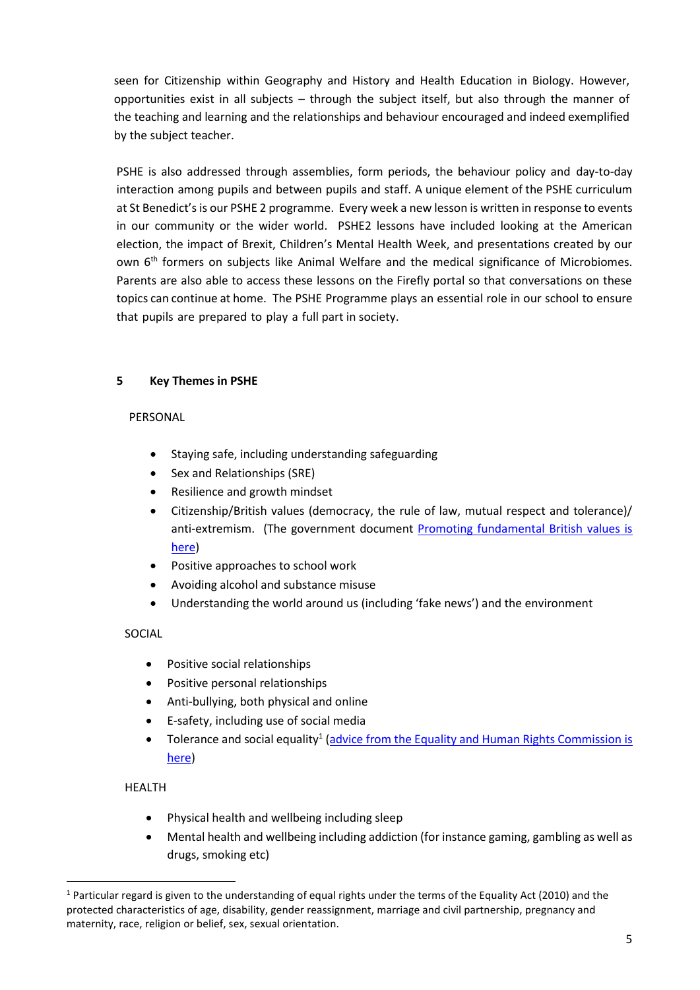seen for Citizenship within Geography and History and Health Education in Biology. However, opportunities exist in all subjects – through the subject itself, but also through the manner of the teaching and learning and the relationships and behaviour encouraged and indeed exemplified by the subject teacher.

PSHE is also addressed through assemblies, form periods, the behaviour policy and day-to-day interaction among pupils and between pupils and staff. A unique element of the PSHE curriculum at St Benedict's is our PSHE 2 programme. Every week a new lesson is written in response to events in our community or the wider world. PSHE2 lessons have included looking at the American election, the impact of Brexit, Children's Mental Health Week, and presentations created by our own 6<sup>th</sup> formers on subjects like Animal Welfare and the medical significance of Microbiomes. Parents are also able to access these lessons on the Firefly portal so that conversations on these topics can continue at home. The PSHE Programme plays an essential role in our school to ensure that pupils are prepared to play a full part in society.

#### <span id="page-4-0"></span>**5 Key Themes in PSHE**

#### PERSONAL

- Staying safe, including understanding safeguarding
- Sex and Relationships (SRE)
- Resilience and growth mindset
- Citizenship/British values (democracy, the rule of law, mutual respect and tolerance)/ anti-extremism. (The government document [Promoting fundamental British values is](https://assets.publishing.service.gov.uk/government/uploads/system/uploads/attachment_data/file/380595/SMSC_Guidance_Maintained_Schools.pdf)  [here\)](https://assets.publishing.service.gov.uk/government/uploads/system/uploads/attachment_data/file/380595/SMSC_Guidance_Maintained_Schools.pdf)
- Positive approaches to school work
- Avoiding alcohol and substance misuse
- Understanding the world around us (including 'fake news') and the environment

#### SOCIAL

- Positive social relationships
- Positive personal relationships
- Anti-bullying, both physical and online
- E-safety, including use of social media
- Tolerance and social equality<sup>1</sup> [\(advice from the Equality and Human Rights Commission is](https://www.equalityhumanrights.com/en/advice-and-guidance) [here\)](https://www.equalityhumanrights.com/en/advice-and-guidance)

#### HEALTH

**.** 

- Physical health and wellbeing including sleep
- Mental health and wellbeing including addiction (for instance gaming, gambling as well as drugs, smoking etc)

 $1$  Particular regard is given to the understanding of equal rights under the terms of the Equality Act (2010) and the protected characteristics of age, disability, gender reassignment, marriage and civil partnership, pregnancy and maternity, race, religion or belief, sex, sexual orientation.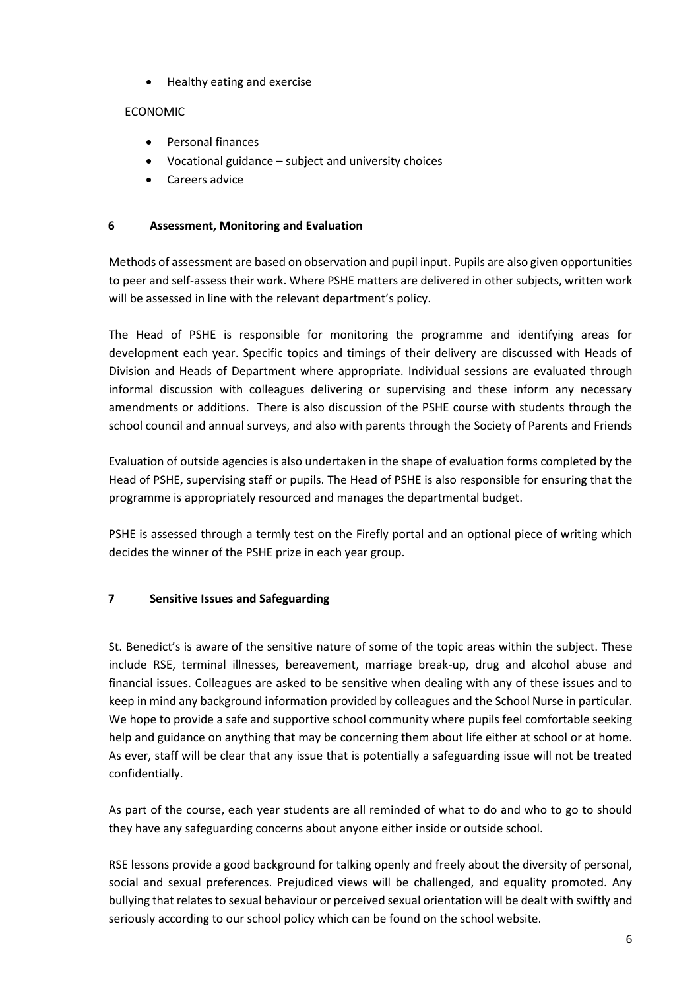• Healthy eating and exercise

### ECONOMIC

- Personal finances
- Vocational guidance subject and university choices
- Careers advice

#### <span id="page-5-0"></span>**6 Assessment, Monitoring and Evaluation**

Methods of assessment are based on observation and pupil input. Pupils are also given opportunities to peer and self-assess their work. Where PSHE matters are delivered in other subjects, written work will be assessed in line with the relevant department's policy.

The Head of PSHE is responsible for monitoring the programme and identifying areas for development each year. Specific topics and timings of their delivery are discussed with Heads of Division and Heads of Department where appropriate. Individual sessions are evaluated through informal discussion with colleagues delivering or supervising and these inform any necessary amendments or additions. There is also discussion of the PSHE course with students through the school council and annual surveys, and also with parents through the Society of Parents and Friends

Evaluation of outside agencies is also undertaken in the shape of evaluation forms completed by the Head of PSHE, supervising staff or pupils. The Head of PSHE is also responsible for ensuring that the programme is appropriately resourced and manages the departmental budget.

PSHE is assessed through a termly test on the Firefly portal and an optional piece of writing which decides the winner of the PSHE prize in each year group.

#### <span id="page-5-1"></span>**7 Sensitive Issues and Safeguarding**

St. Benedict's is aware of the sensitive nature of some of the topic areas within the subject. These include RSE, terminal illnesses, bereavement, marriage break-up, drug and alcohol abuse and financial issues. Colleagues are asked to be sensitive when dealing with any of these issues and to keep in mind any background information provided by colleagues and the School Nurse in particular. We hope to provide a safe and supportive school community where pupils feel comfortable seeking help and guidance on anything that may be concerning them about life either at school or at home. As ever, staff will be clear that any issue that is potentially a safeguarding issue will not be treated confidentially.

As part of the course, each year students are all reminded of what to do and who to go to should they have any safeguarding concerns about anyone either inside or outside school.

RSE lessons provide a good background for talking openly and freely about the diversity of personal, social and sexual preferences. Prejudiced views will be challenged, and equality promoted. Any bullying that relates to sexual behaviour or perceived sexual orientation will be dealt with swiftly and seriously according to our school policy which can be found on the school website.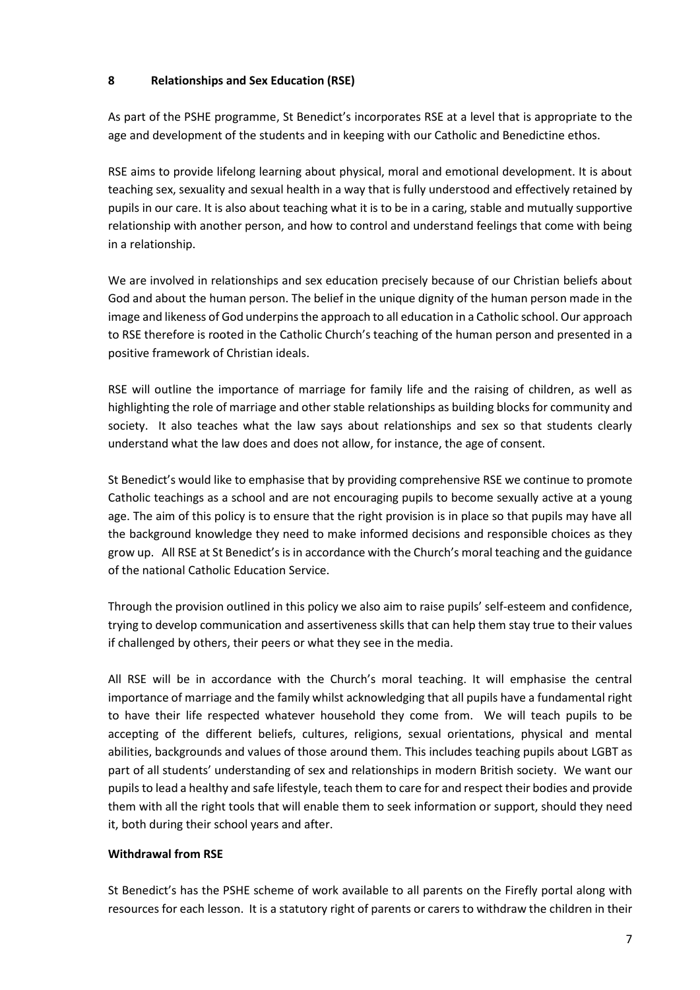#### <span id="page-6-0"></span>**8 Relationships and Sex Education (RSE)**

As part of the PSHE programme, St Benedict's incorporates RSE at a level that is appropriate to the age and development of the students and in keeping with our Catholic and Benedictine ethos.

RSE aims to provide lifelong learning about physical, moral and emotional development. It is about teaching sex, sexuality and sexual health in a way that is fully understood and effectively retained by pupils in our care. It is also about teaching what it is to be in a caring, stable and mutually supportive relationship with another person, and how to control and understand feelings that come with being in a relationship.

We are involved in relationships and sex education precisely because of our Christian beliefs about God and about the human person. The belief in the unique dignity of the human person made in the image and likeness of God underpins the approach to all education in a Catholic school. Our approach to RSE therefore is rooted in the Catholic Church's teaching of the human person and presented in a positive framework of Christian ideals.

RSE will outline the importance of marriage for family life and the raising of children, as well as highlighting the role of marriage and other stable relationships as building blocks for community and society. It also teaches what the law says about relationships and sex so that students clearly understand what the law does and does not allow, for instance, the age of consent.

St Benedict's would like to emphasise that by providing comprehensive RSE we continue to promote Catholic teachings as a school and are not encouraging pupils to become sexually active at a young age. The aim of this policy is to ensure that the right provision is in place so that pupils may have all the background knowledge they need to make informed decisions and responsible choices as they grow up. All RSE at St Benedict's is in accordance with the Church's moral teaching and the guidance of the national Catholic Education Service.

Through the provision outlined in this policy we also aim to raise pupils' self-esteem and confidence, trying to develop communication and assertiveness skills that can help them stay true to their values if challenged by others, their peers or what they see in the media.

All RSE will be in accordance with the Church's moral teaching. It will emphasise the central importance of marriage and the family whilst acknowledging that all pupils have a fundamental right to have their life respected whatever household they come from. We will teach pupils to be accepting of the different beliefs, cultures, religions, sexual orientations, physical and mental abilities, backgrounds and values of those around them. This includes teaching pupils about LGBT as part of all students' understanding of sex and relationships in modern British society. We want our pupils to lead a healthy and safe lifestyle, teach them to care for and respect their bodies and provide them with all the right tools that will enable them to seek information or support, should they need it, both during their school years and after.

#### **Withdrawal from RSE**

St Benedict's has the PSHE scheme of work available to all parents on the Firefly portal along with resources for each lesson. It is a statutory right of parents or carers to withdraw the children in their